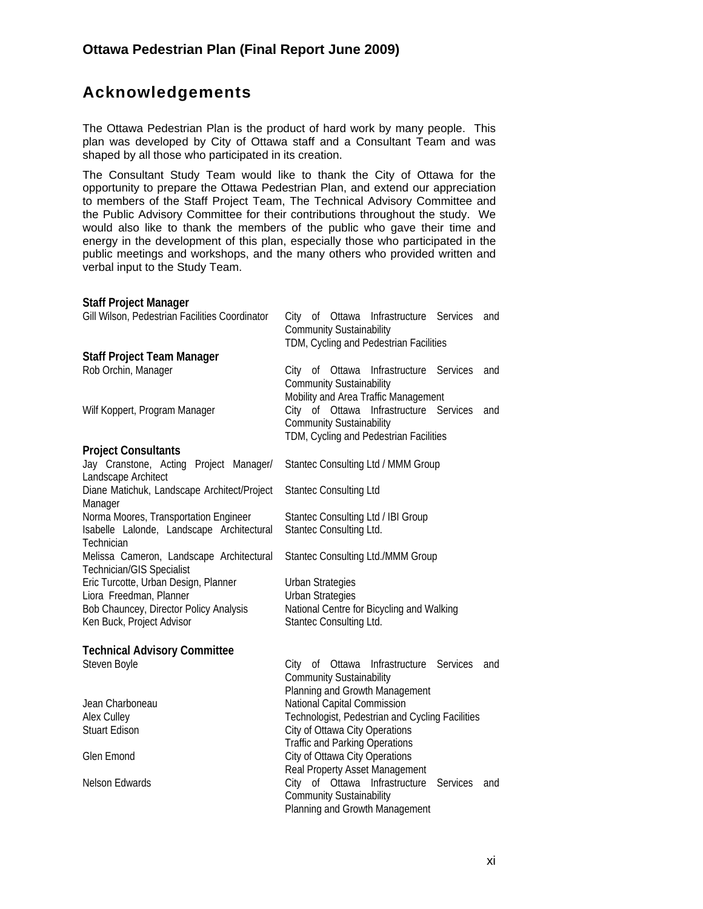## **Acknowledgements**

The Ottawa Pedestrian Plan is the product of hard work by many people. This plan was developed by City of Ottawa staff and a Consultant Team and was shaped by all those who participated in its creation.

The Consultant Study Team would like to thank the City of Ottawa for the opportunity to prepare the Ottawa Pedestrian Plan, and extend our appreciation to members of the Staff Project Team, The Technical Advisory Committee and the Public Advisory Committee for their contributions throughout the study. We would also like to thank the members of the public who gave their time and energy in the development of this plan, especially those who participated in the public meetings and workshops, and the many others who provided written and verbal input to the Study Team.

## **Staff Project Manager**

| Gill Wilson, Pedestrian Facilities Coordinator                        | City of Ottawa Infrastructure Services<br>and<br><b>Community Sustainability</b><br>TDM, Cycling and Pedestrian Facilities |
|-----------------------------------------------------------------------|----------------------------------------------------------------------------------------------------------------------------|
| <b>Staff Project Team Manager</b>                                     |                                                                                                                            |
| Rob Orchin, Manager                                                   | City of Ottawa Infrastructure Services<br>and<br><b>Community Sustainability</b><br>Mobility and Area Traffic Management   |
| Wilf Koppert, Program Manager                                         | City of Ottawa Infrastructure Services<br>and<br><b>Community Sustainability</b><br>TDM, Cycling and Pedestrian Facilities |
|                                                                       |                                                                                                                            |
| <b>Project Consultants</b>                                            |                                                                                                                            |
| Jay Cranstone, Acting Project Manager/<br>Landscape Architect         | Stantec Consulting Ltd / MMM Group                                                                                         |
| Diane Matichuk, Landscape Architect/Project<br>Manager                | <b>Stantec Consulting Ltd</b>                                                                                              |
| Norma Moores, Transportation Engineer                                 | Stantec Consulting Ltd / IBI Group                                                                                         |
| Isabelle Lalonde, Landscape Architectural<br>Technician               | Stantec Consulting Ltd.                                                                                                    |
| Melissa Cameron, Landscape Architectural<br>Technician/GIS Specialist | Stantec Consulting Ltd./MMM Group                                                                                          |
| Eric Turcotte, Urban Design, Planner                                  | <b>Urban Strategies</b>                                                                                                    |
| Liora Freedman, Planner                                               | <b>Urban Strategies</b>                                                                                                    |
| Bob Chauncey, Director Policy Analysis                                | National Centre for Bicycling and Walking                                                                                  |
| Ken Buck, Project Advisor                                             | Stantec Consulting Ltd.                                                                                                    |
| <b>Technical Advisory Committee</b>                                   |                                                                                                                            |
| Steven Boyle                                                          | of Ottawa<br>Infrastructure<br>Services<br>City<br>and                                                                     |
|                                                                       | <b>Community Sustainability</b>                                                                                            |
|                                                                       | Planning and Growth Management                                                                                             |
| Jean Charboneau                                                       | National Capital Commission                                                                                                |
| Alex Culley                                                           | Technologist, Pedestrian and Cycling Facilities                                                                            |
| <b>Stuart Edison</b>                                                  | City of Ottawa City Operations                                                                                             |
|                                                                       | <b>Traffic and Parking Operations</b>                                                                                      |
| Glen Emond                                                            | City of Ottawa City Operations                                                                                             |
|                                                                       | Real Property Asset Management                                                                                             |
| Nelson Edwards                                                        | City of Ottawa Infrastructure<br>Services<br>and<br><b>Community Sustainability</b><br>Planning and Growth Management      |